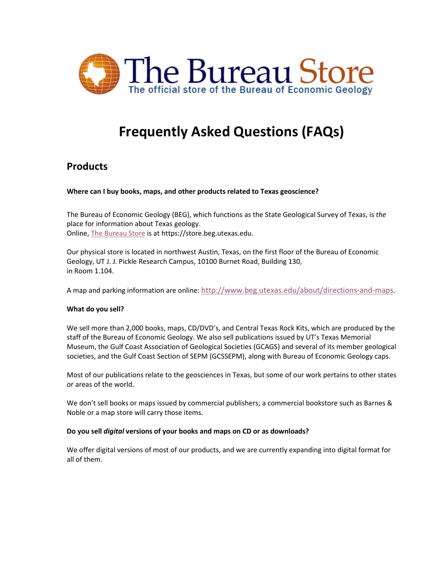

# **Frequently Asked Questions (FAQs)**

# **Products**

#### **Where can I buy books, maps, and other products related to Texas geoscience?**

The Bureau of Economic Geology (BEG), which functions as the State Geological Survey of Texas, is *the* place for information about Texas geology. Online, [The Bureau Store](https://store.beg.utexas.edu/) is at https://store.beg.utexas.edu.

Our physical store is located in northwest Austin, Texas, on the first floor of the Bureau of Economic Geology, UT J. J. Pickle Research Campus, 10100 Burnet Road, Building 130, in Room 1.104.

A map and parking information are online: [http://www.beg.utexas.edu/about/directions-and-maps.](http://www.beg.utexas.edu/about/directions-and-maps)

#### **What do you sell?**

We sell more than 2,000 books, maps, CD/DVD's, and Central Texas Rock Kits, which are produced by the staff of the Bureau of Economic Geology. We also sell publications issued by UT's Texas Memorial Museum, the Gulf Coast Association of Geological Societies (GCAGS) and several of its member geological societies, and the Gulf Coast Section of SEPM (GCSSEPM), along with Bureau of Economic Geology caps.

Most of our publications relate to the geosciences in Texas, but some of our work pertains to other states or areas of the world.

We don't sell books or maps issued by commercial publishers; a commercial bookstore such as Barnes & Noble or a map store will carry those items.

#### **Do you sell** *digital* **versions of your books and maps on CD or as downloads?**

We offer digital versions of most of our products, and we are currently expanding into digital format for all of them.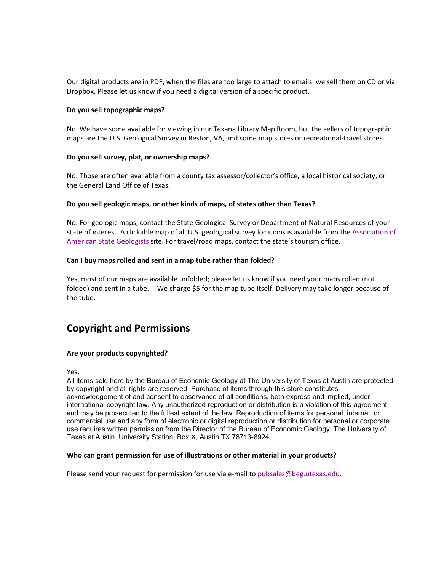Our digital products are in PDF; when the files are too large to attach to emails, we sell them on CD or via Dropbox. Please let us know if you need a digital version of a specific product.

#### **Do you sell topographic maps?**

No. We have some available for viewing in our Texana Library Map Room, but the sellers of topographic maps are the U.S. Geological Survey in Reston, VA, and some map stores or recreational-travel stores.

#### **Do you sell survey, plat, or ownership maps?**

No. Those are often available from a county tax assessor/collector's office, a local historical society, or the General Land Office of Texas.

#### **Do you sell geologic maps, or other kinds of maps, of states other than Texas?**

No. For geologic maps, contact the State Geological Survey or Department of Natural Resources of your state of interest. A clickable map of all U.S. geological survey locations is available from the [Association of](http://www.stategeologists.org/index.php)  [American State Geologists](http://www.stategeologists.org/index.php) site. For travel/road maps, contact the state's tourism office.

#### **Can I buy maps rolled and sent in a map tube rather than folded?**

Yes, most of our maps are available unfolded; please let us know if you need your maps rolled (not folded) and sent in a tube. We charge \$5 for the map tube itself. Delivery may take longer because of the tube.

# **Copyright and Permissions**

#### **Are your products copyrighted?**

Yes.

All items sold here by the Bureau of Economic Geology at The University of Texas at Austin are protected by copyright and all rights are reserved. Purchase of items through this store constitutes acknowledgement of and consent to observance of all conditions, both express and implied, under international copyright law. Any unauthorized reproduction or distribution is a violation of this agreement and may be prosecuted to the fullest extent of the law. Reproduction of items for personal, internal, or commercial use and any form of electronic or digital reproduction or distribution for personal or corporate use requires written permission from the Director of the Bureau of Economic Geology, The University of Texas at Austin, University Station, Box X, Austin TX 78713-8924.

#### **Who can grant permission for use of illustrations or other material in your products?**

Please send your request for permission for use via e-mail t[o pubsales@beg.utexas.edu.](mailto:pubsales@beg.utexas.edu)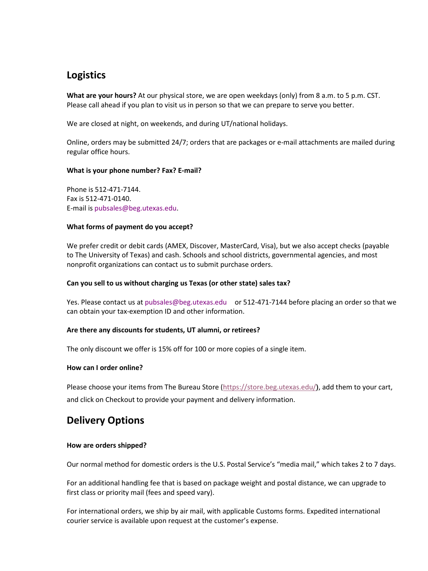# **Logistics**

**What are your hours?** At our physical store, we are open weekdays (only) from 8 a.m. to 5 p.m. CST. Please call ahead if you plan to visit us in person so that we can prepare to serve you better.

We are closed at night, on weekends, and during UT/national holidays.

Online, orders may be submitted 24/7; orders that are packages or e-mail attachments are mailed during regular office hours.

#### **What is your phone number? Fax? E-mail?**

Phone is 512-471-7144. Fax is 512-471-0140. E-mail is [pubsales@beg.utexas.edu.](mailto:pubsales@beg.utexas.edu)

#### **What forms of payment do you accept?**

We prefer credit or debit cards (AMEX, Discover, MasterCard, Visa), but we also accept checks (payable to The University of Texas) and cash. Schools and school districts, governmental agencies, and most nonprofit organizations can contact us to submit purchase orders.

#### **Can you sell to us without charging us Texas (or other state) sales tax?**

Yes. Please contact us at [pubsales@beg.utexas.edu](mailto:pubsales@beg.utexas.edu) or 512-471-7144 before placing an order so that we can obtain your tax-exemption ID and other information.

#### **Are there any discounts for students, UT alumni, or retirees?**

The only discount we offer is 15% off for 100 or more copies of a single item.

#### **How can I order online?**

Please choose your items from The Bureau Store [\(https://store.beg.utexas.edu/](https://store.beg.utexas.edu/)**)**, add them to your cart, and click on Checkout to provide your payment and delivery information.

### **Delivery Options**

#### **How are orders shipped?**

Our normal method for domestic orders is the U.S. Postal Service's "media mail," which takes 2 to 7 days.

For an additional handling fee that is based on package weight and postal distance, we can upgrade to first class or priority mail (fees and speed vary).

For international orders, we ship by air mail, with applicable Customs forms. Expedited international courier service is available upon request at the customer's expense.